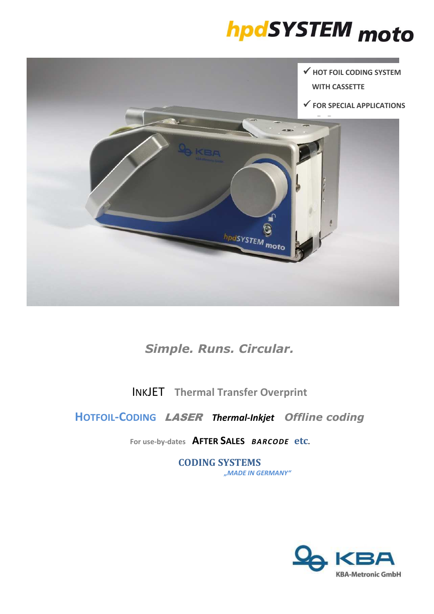



# *Simple. Runs. Circular.*

INKJET **Thermal Transfer Overprint**

## **HOTFOIL-CODING** LASER *Thermal-Inkjet**Offline coding*

**For use-by-dates AFTER SALES** *BARCODE* **etc.** 

**CODING SYSTEMS** *"MADE IN GERMANY"*